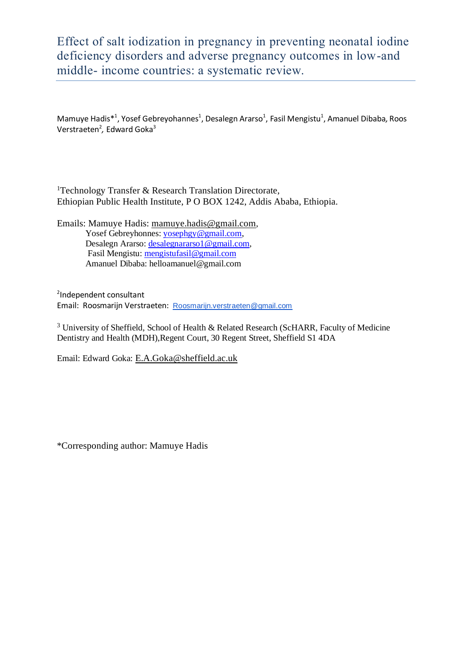# Effect of salt iodization in pregnancy in preventing neonatal iodine deficiency disorders and adverse pregnancy outcomes in low-and middle- income countries: a systematic review.

Mamuye Hadis<sup>\*1</sup>, Yosef Gebreyohannes<sup>1</sup>, Desalegn Ararso<sup>1</sup>, Fasil Mengistu<sup>1</sup>, Amanuel Dibaba, Roos Verstraeten<sup>2</sup>, Edward Goka<sup>3</sup>

<sup>1</sup>Technology Transfer & Research Translation Directorate, Ethiopian Public Health Institute, P O BOX 1242, Addis Ababa, Ethiopia.

Emails: Mamuye Hadis: [mamuye.hadis@gmail.com](mailto:mamuyeh@ehnri.gov.et), Yosef Gebreyhonnes[: yosephgy@gmail.com,](mailto:yosephgy@gmail.com) Desalegn Ararso: [desalegnararso1@gmail.com,](mailto:desalegnararso1@gmail.com) Fasil Mengistu: [mengistufasil@gmail.com](mailto:mengistufasil@gmail.com) Amanuel Dibaba: helloamanuel@gmail.com

2 Independent consultant Email: Roosmarijn Verstraeten: [Roosmarijn.verstraeten@gmail.com](mailto:Roosmarijn.verstraeten@gmail.com)

<sup>3</sup> University of Sheffield, School of Health & Related Research (ScHARR, Faculty of Medicine Dentistry and Health (MDH),Regent Court, 30 Regent Street, Sheffield S1 4DA

Email: Edward Goka: [E.A.Goka@sheffield.ac.uk](mailto:E.A.Goka@sheffield.ac.uk)

\*Corresponding author: Mamuye Hadis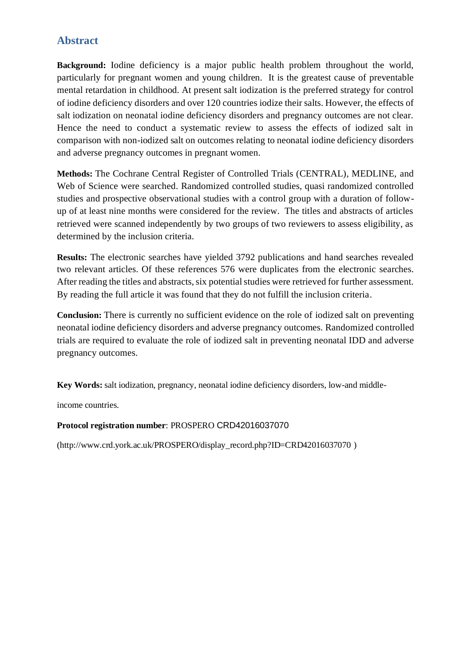# **Abstract**

**Background:** Iodine deficiency is a major public health problem throughout the world, particularly for pregnant women and young children. It is the greatest cause of preventable mental retardation in childhood. At present salt iodization is the preferred strategy for control of iodine deficiency disorders and over 120 countries iodize their salts. However, the effects of salt iodization on neonatal iodine deficiency disorders and pregnancy outcomes are not clear. Hence the need to conduct a systematic review to assess the effects of iodized salt in comparison with non-iodized salt on outcomes relating to neonatal iodine deficiency disorders and adverse pregnancy outcomes in pregnant women.

**Methods:** The Cochrane Central Register of Controlled Trials (CENTRAL), MEDLINE, and Web of Science were searched. Randomized controlled studies, quasi randomized controlled studies and prospective observational studies with a control group with a duration of followup of at least nine months were considered for the review. The titles and abstracts of articles retrieved were scanned independently by two groups of two reviewers to assess eligibility, as determined by the inclusion criteria.

**Results:** The electronic searches have yielded 3792 publications and hand searches revealed two relevant articles. Of these references 576 were duplicates from the electronic searches. After reading the titles and abstracts, six potential studies were retrieved for further assessment. By reading the full article it was found that they do not fulfill the inclusion criteria.

**Conclusion:** There is currently no sufficient evidence on the role of iodized salt on preventing neonatal iodine deficiency disorders and adverse pregnancy outcomes. Randomized controlled trials are required to evaluate the role of iodized salt in preventing neonatal IDD and adverse pregnancy outcomes.

**Key Words:** salt iodization, pregnancy, neonatal iodine deficiency disorders, low-and middle-

income countries.

#### **Protocol registration number**: PROSPERO CRD42016037070

(http://www.crd.york.ac.uk/PROSPERO/display\_record.php?ID=CRD42016037070 )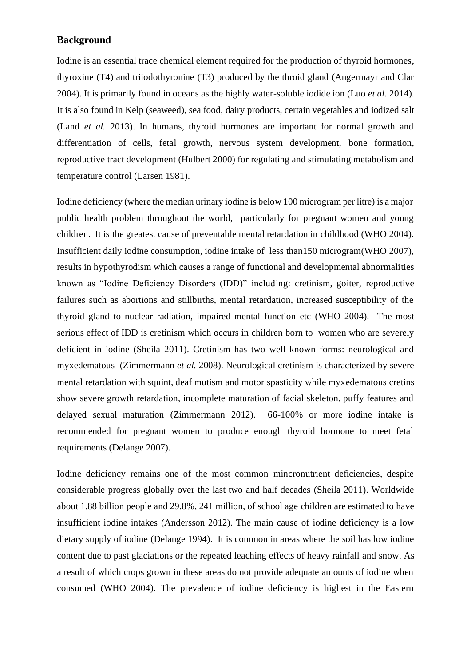### **Background**

Iodine is an essential trace chemical element required for the production of thyroid hormones, thyroxine (T4) and triiodothyronine (T3) produced by the throid gland (Angermayr and Clar 2004). It is primarily found in oceans as the highly water-soluble iodide ion (Luo *et al.* 2014). It is also found in Kelp (seaweed), sea food, dairy products, certain vegetables and iodized salt (Land *et al.* 2013). In humans, thyroid hormones are important for normal growth and differentiation of cells, fetal growth, nervous system development, bone formation, reproductive tract development (Hulbert 2000) for regulating and stimulating metabolism and temperature control (Larsen 1981).

Iodine deficiency (where the median urinary iodine is below 100 microgram per litre) is a major public health problem throughout the world, particularly for pregnant women and young children. It is the greatest cause of preventable mental retardation in childhood (WHO 2004). Insufficient daily iodine consumption, iodine intake of less than150 microgram(WHO 2007), results in hypothyrodism which causes a range of functional and developmental abnormalities known as "Iodine Deficiency Disorders (IDD)" including: cretinism, goiter, reproductive failures such as abortions and stillbirths, mental retardation, increased susceptibility of the thyroid gland to nuclear radiation, impaired mental function etc (WHO 2004). The most serious effect of IDD is cretinism which occurs in children born to women who are severely deficient in iodine (Sheila 2011). Cretinism has two well known forms: neurological and myxedematous (Zimmermann *et al.* 2008). Neurological cretinism is characterized by severe mental retardation with squint, deaf mutism and motor spasticity while myxedematous cretins show severe growth retardation, incomplete maturation of facial skeleton, puffy features and delayed sexual maturation (Zimmermann 2012). 66-100% or more iodine intake is recommended for pregnant women to produce enough thyroid hormone to meet fetal requirements (Delange 2007).

Iodine deficiency remains one of the most common mincronutrient deficiencies, despite considerable progress globally over the last two and half decades (Sheila 2011). Worldwide about 1.88 billion people and 29.8%, 241 million, of school age children are estimated to have insufficient iodine intakes (Andersson 2012). The main cause of iodine deficiency is a low dietary supply of iodine (Delange 1994). It is common in areas where the soil has low iodine content due to past glaciations or the repeated leaching effects of heavy rainfall and snow. As a result of which crops grown in these areas do not provide adequate amounts of iodine when consumed (WHO 2004). The prevalence of iodine deficiency is highest in the Eastern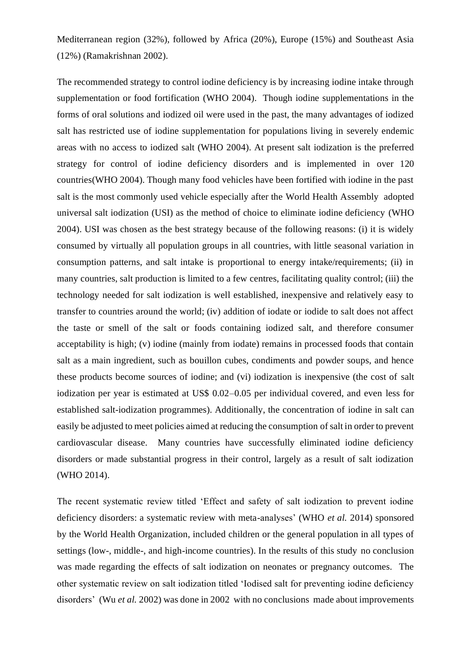Mediterranean region (32%), followed by Africa (20%), Europe (15%) and Southeast Asia (12%) (Ramakrishnan 2002).

The recommended strategy to control iodine deficiency is by increasing iodine intake through supplementation or food fortification (WHO 2004). Though iodine supplementations in the forms of oral solutions and iodized oil were used in the past, the many advantages of iodized salt has restricted use of iodine supplementation for populations living in severely endemic areas with no access to iodized salt (WHO 2004). At present salt iodization is the preferred strategy for control of iodine deficiency disorders and is implemented in over 120 countries(WHO 2004). Though many food vehicles have been fortified with iodine in the past salt is the most commonly used vehicle especially after the World Health Assembly adopted universal salt iodization (USI) as the method of choice to eliminate iodine deficiency (WHO 2004). USI was chosen as the best strategy because of the following reasons: (i) it is widely consumed by virtually all population groups in all countries, with little seasonal variation in consumption patterns, and salt intake is proportional to energy intake/requirements; (ii) in many countries, salt production is limited to a few centres, facilitating quality control; (iii) the technology needed for salt iodization is well established, inexpensive and relatively easy to transfer to countries around the world; (iv) addition of iodate or iodide to salt does not affect the taste or smell of the salt or foods containing iodized salt, and therefore consumer acceptability is high; (v) iodine (mainly from iodate) remains in processed foods that contain salt as a main ingredient, such as bouillon cubes, condiments and powder soups, and hence these products become sources of iodine; and (vi) iodization is inexpensive (the cost of salt iodization per year is estimated at US\$ 0.02–0.05 per individual covered, and even less for established salt-iodization programmes). Additionally, the concentration of iodine in salt can easily be adjusted to meet policies aimed at reducing the consumption of salt in order to prevent cardiovascular disease. Many countries have successfully eliminated iodine deficiency disorders or made substantial progress in their control, largely as a result of salt iodization (WHO 2014).

The recent systematic review titled 'Effect and safety of salt iodization to prevent iodine deficiency disorders: a systematic review with meta-analyses' (WHO *et al.* 2014) sponsored by the World Health Organization, included children or the general population in all types of settings (low-, middle-, and high-income countries). In the results of this study no conclusion was made regarding the effects of salt iodization on neonates or pregnancy outcomes. The other systematic review on salt iodization titled 'Iodised salt for preventing iodine deficiency disorders' (Wu *et al.* 2002) was done in 2002 with no conclusions made about improvements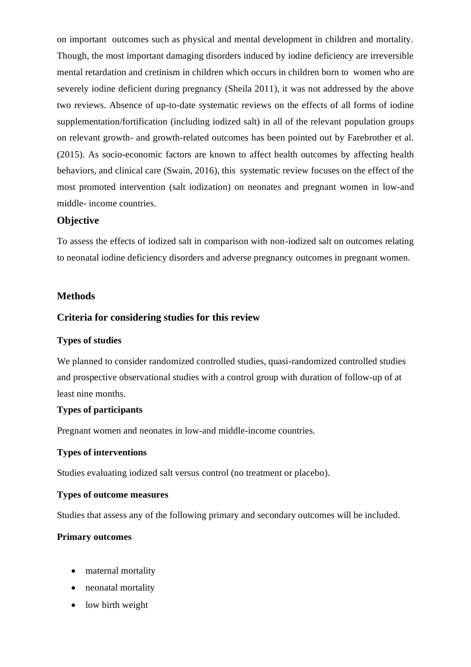on important outcomes such as physical and mental development in children and mortality. Though, the most important damaging disorders induced by iodine deficiency are irreversible mental retardation and cretinism in children which occurs in children born to women who are severely iodine deficient during pregnancy (Sheila 2011), it was not addressed by the above two reviews. Absence of up-to-date systematic reviews on the effects of all forms of iodine supplementation/fortification (including iodized salt) in all of the relevant population groups on relevant growth- and growth-related outcomes has been pointed out by Farebrother et al. (2015). As socio-economic factors are known to affect health outcomes by affecting health behaviors, and clinical care (Swain, 2016), this systematic review focuses on the effect of the most promoted intervention (salt iodization) on neonates and pregnant women in low-and middle- income countries.

#### **Objective**

To assess the effects of iodized salt in comparison with non-iodized salt on outcomes relating to neonatal iodine deficiency disorders and adverse pregnancy outcomes in pregnant women.

#### **Methods**

### **Criteria for considering studies for this review**

#### **Types of studies**

We planned to consider randomized controlled studies, quasi-randomized controlled studies and prospective observational studies with a control group with duration of follow-up of at least nine months.

#### **Types of participants**

Pregnant women and neonates in low-and middle-income countries.

#### **Types of interventions**

Studies evaluating iodized salt versus control (no treatment or placebo).

#### **Types of outcome measures**

Studies that assess any of the following primary and secondary outcomes will be included.

#### **Primary outcomes**

- maternal mortality
- neonatal mortality
- low birth weight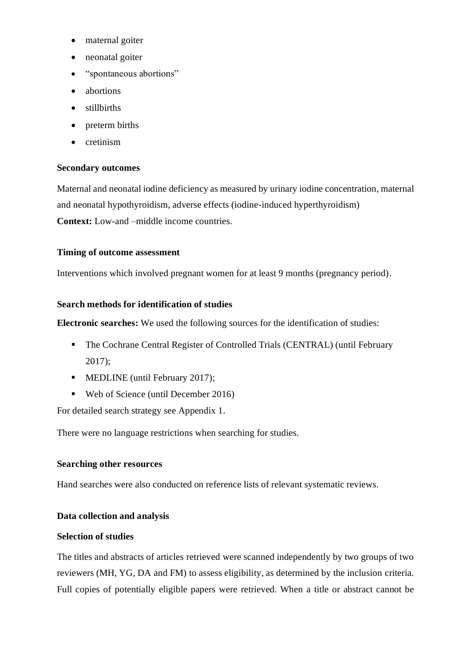- maternal goiter
- neonatal goiter
- "spontaneous abortions"
- abortions
- stillbirths
- preterm births
- cretinism

### **Secondary outcomes**

Maternal and neonatal iodine deficiency as measured by urinary iodine concentration, maternal and neonatal hypothyroidism, adverse effects (iodine-induced hyperthyroidism) **Context:** Low-and –middle income countries.

### **Timing of outcome assessment**

Interventions which involved pregnant women for at least 9 months (pregnancy period).

### **Search methods for identification of studies**

**Electronic searches:** We used the following sources for the identification of studies:

- The Cochrane Central Register of Controlled Trials (CENTRAL) (until February 2017);
- MEDLINE (until February 2017);
- Web of Science (until December 2016)

For detailed search strategy see Appendix 1.

There were no language restrictions when searching for studies.

#### **Searching other resources**

Hand searches were also conducted on reference lists of relevant systematic reviews.

### **Data collection and analysis**

#### **Selection of studies**

The titles and abstracts of articles retrieved were scanned independently by two groups of two reviewers (MH, YG, DA and FM) to assess eligibility, as determined by the inclusion criteria. Full copies of potentially eligible papers were retrieved. When a title or abstract cannot be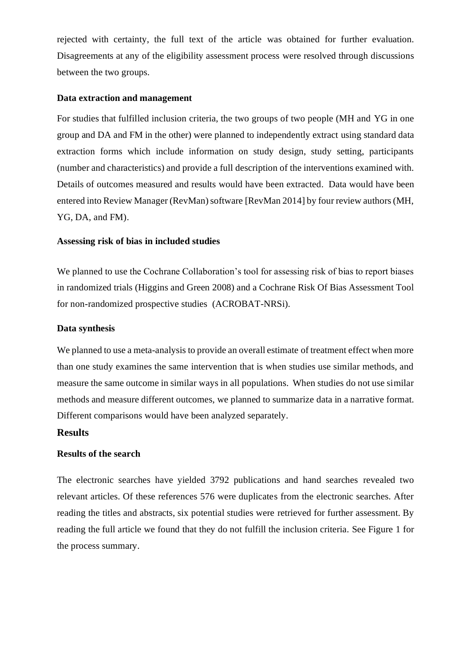rejected with certainty, the full text of the article was obtained for further evaluation. Disagreements at any of the eligibility assessment process were resolved through discussions between the two groups.

#### **Data extraction and management**

For studies that fulfilled inclusion criteria, the two groups of two people (MH and YG in one group and DA and FM in the other) were planned to independently extract using standard data extraction forms which include information on study design, study setting, participants (number and characteristics) and provide a full description of the interventions examined with. Details of outcomes measured and results would have been extracted. Data would have been entered into Review Manager (RevMan) software [RevMan 2014] by four review authors (MH, YG, DA, and FM).

### **Assessing risk of bias in included studies**

We planned to use the Cochrane Collaboration's tool for assessing risk of bias to report biases in randomized trials (Higgins and Green 2008) and a Cochrane Risk Of Bias Assessment Tool for non-randomized prospective studies (ACROBAT-NRSi).

#### **Data synthesis**

We planned to use a meta-analysis to provide an overall estimate of treatment effect when more than one study examines the same intervention that is when studies use similar methods, and measure the same outcome in similar ways in all populations. When studies do not use similar methods and measure different outcomes, we planned to summarize data in a narrative format. Different comparisons would have been analyzed separately.

### **Results**

#### **Results of the search**

The electronic searches have yielded 3792 publications and hand searches revealed two relevant articles. Of these references 576 were duplicates from the electronic searches. After reading the titles and abstracts, six potential studies were retrieved for further assessment. By reading the full article we found that they do not fulfill the inclusion criteria. See Figure 1 for the process summary.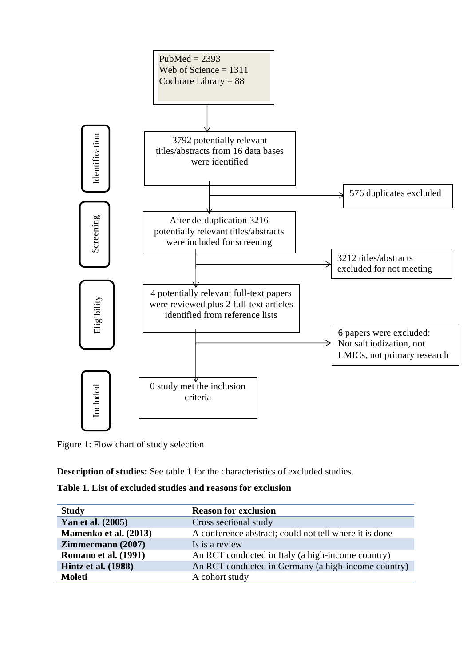

Figure 1: Flow chart of study selection

**Description of studies:** See table 1 for the characteristics of excluded studies.

**Table 1. List of excluded studies and reasons for exclusion**

| <b>Study</b>                | <b>Reason for exclusion</b>                            |
|-----------------------------|--------------------------------------------------------|
| Yan et al. (2005)           | Cross sectional study                                  |
| Mamenko et al. (2013)       | A conference abstract; could not tell where it is done |
| <b>Zimmermann</b> (2007)    | Is is a review                                         |
| <b>Romano et al. (1991)</b> | An RCT conducted in Italy (a high-income country)      |
| <b>Hintz et al.</b> (1988)  | An RCT conducted in Germany (a high-income country)    |
| Moleti                      | A cohort study                                         |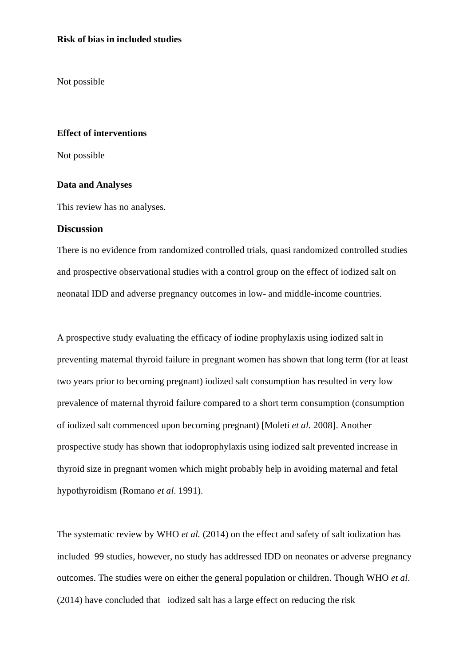#### **Risk of bias in included studies**

Not possible

#### **Effect of interventions**

Not possible

#### **Data and Analyses**

This review has no analyses.

#### **Discussion**

There is no evidence from randomized controlled trials, quasi randomized controlled studies and prospective observational studies with a control group on the effect of iodized salt on neonatal IDD and adverse pregnancy outcomes in low- and middle-income countries.

A prospective study evaluating the efficacy of iodine prophylaxis using iodized salt in preventing maternal thyroid failure in pregnant women has shown that long term (for at least two years prior to becoming pregnant) iodized salt consumption has resulted in very low prevalence of maternal thyroid failure compared to a short term consumption (consumption of iodized salt commenced upon becoming pregnant) [Moleti *et al*. 2008]. Another prospective study has shown that iodoprophylaxis using iodized salt prevented increase in thyroid size in pregnant women which might probably help in avoiding maternal and fetal hypothyroidism (Romano *et al*. 1991).

The systematic review by WHO *et al.* (2014) on the effect and safety of salt iodization has included 99 studies, however, no study has addressed IDD on neonates or adverse pregnancy outcomes. The studies were on either the general population or children. Though WHO *et al*. (2014) have concluded that iodized salt has a large effect on reducing the risk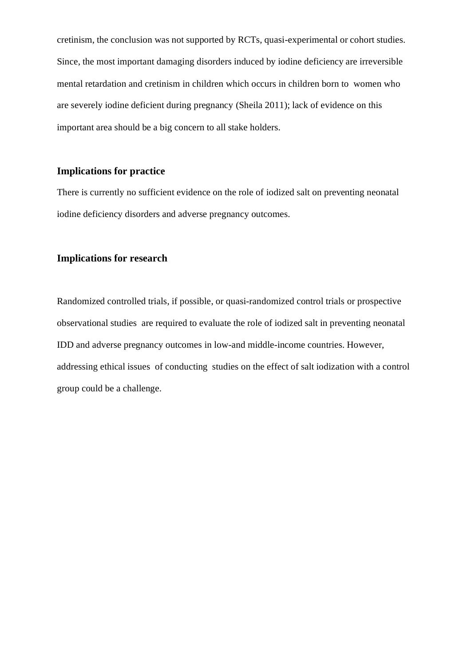cretinism, the conclusion was not supported by RCTs, quasi-experimental or cohort studies. Since, the most important damaging disorders induced by iodine deficiency are irreversible mental retardation and cretinism in children which occurs in children born to women who are severely iodine deficient during pregnancy (Sheila 2011); lack of evidence on this important area should be a big concern to all stake holders.

# **Implications for practice**

There is currently no sufficient evidence on the role of iodized salt on preventing neonatal iodine deficiency disorders and adverse pregnancy outcomes.

### **Implications for research**

Randomized controlled trials, if possible, or quasi-randomized control trials or prospective observational studies are required to evaluate the role of iodized salt in preventing neonatal IDD and adverse pregnancy outcomes in low-and middle-income countries. However, addressing ethical issues of conducting studies on the effect of salt iodization with a control group could be a challenge.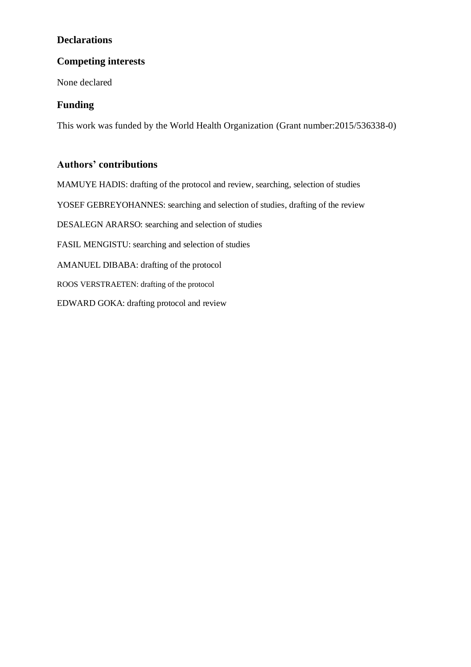# **Declarations**

# **Competing interests**

None declared

# **Funding**

This work was funded by the World Health Organization (Grant number:2015/536338-0)

# **Authors' contributions**

MAMUYE HADIS: drafting of the protocol and review, searching, selection of studies YOSEF GEBREYOHANNES: searching and selection of studies, drafting of the review DESALEGN ARARSO: searching and selection of studies FASIL MENGISTU: searching and selection of studies AMANUEL DIBABA: drafting of the protocol ROOS VERSTRAETEN: drafting of the protocol EDWARD GOKA: drafting protocol and review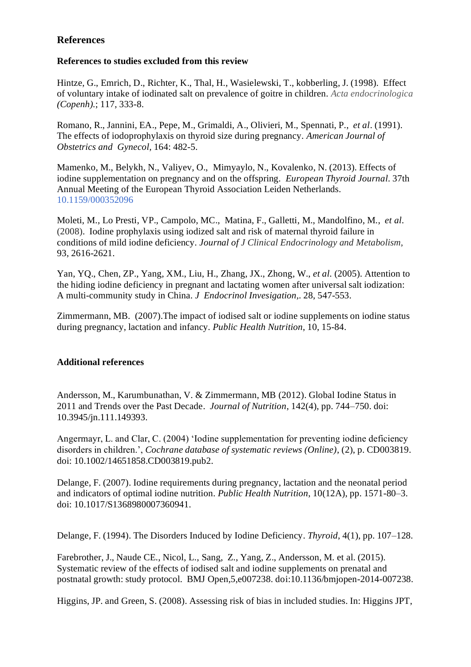# **References**

### **References to studies excluded from this review**

Hintze, G., Emrich, D., Richter, K., Thal, H., Wasielewski, T., kobberling, J. (1998). Effect of voluntary intake of iodinated salt on prevalence of goitre in children. *Acta endocrinologica (Copenh).*; 117, 333-8.

Romano, R., Jannini, EA., Pepe, M., Grimaldi, A., Olivieri, M., Spennati, P., *et al*. (1991). The effects of iodoprophylaxis on thyroid size during pregnancy. *American Journal of Obstetrics and Gynecol,* 164: 482-5.

Mamenko, M., Belykh, N., Valiyev, O., Mimyaylo, N., Kovalenko, N. (2013). Effects of iodine supplementation on pregnancy and on the offspring. *European Thyroid Journal*. 37th Annual Meeting of the European Thyroid Association Leiden Netherlands. [10.1159/000352096](http://dx.doi.org/10.1159/000352096)

Moleti, M., Lo Presti, VP., Campolo, MC., Matina, F., Galletti, M., Mandolfino, M., *et al*. (2008). Iodine prophylaxis using iodized salt and risk of maternal thyroid failure in conditions of mild iodine deficiency. *Journal of J Clinical Endocrinology and Metabolism*, 93, 2616-2621.

Yan, YQ., Chen, ZP., Yang, XM., Liu, H., Zhang, JX., Zhong, W., *et al*. (2005). Attention to the hiding iodine deficiency in pregnant and lactating women after universal salt iodization: A multi-community study in China. *J Endocrinol Invesigation,*. 28, 547-553.

Zimmermann, MB. (2007).The impact of iodised salt or iodine supplements on iodine status during pregnancy, lactation and infancy. *Public Health Nutrition*, 10, 15-84.

### **Additional references**

Andersson, M., Karumbunathan, V. & Zimmermann, MB (2012). Global Iodine Status in 2011 and Trends over the Past Decade. *Journal of Nutrition*, 142(4), pp. 744–750. doi: 10.3945/jn.111.149393.

Angermayr, L. and Clar, C. (2004) 'Iodine supplementation for preventing iodine deficiency disorders in children.', *Cochrane database of systematic reviews (Online)*, (2), p. CD003819. doi: 10.1002/14651858.CD003819.pub2.

Delange, F. (2007). Iodine requirements during pregnancy, lactation and the neonatal period and indicators of optimal iodine nutrition. *Public Health Nutrition*, 10(12A), pp. 1571-80–3. doi: 10.1017/S1368980007360941.

Delange, F. (1994). The Disorders Induced by Iodine Deficiency. *Thyroid*, 4(1), pp. 107–128.

Farebrother, J., Naude CE., Nicol, L., Sang, Z., Yang, Z., Andersson, M. et al. (2015). Systematic review of the effects of iodised salt and iodine supplements on prenatal and postnatal growth: study protocol. BMJ Open,5,e007238. doi:10.1136/bmjopen-2014-007238.

Higgins, JP. and Green, S. (2008). Assessing risk of bias in included studies. In: Higgins JPT,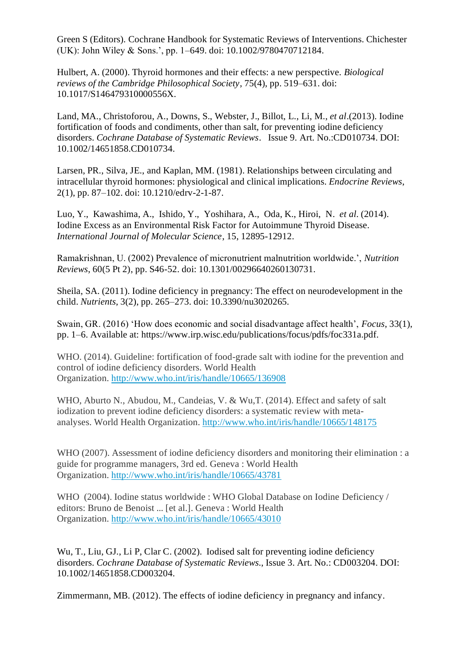Green S (Editors). Cochrane Handbook for Systematic Reviews of Interventions. Chichester (UK): John Wiley & Sons.', pp. 1–649. doi: 10.1002/9780470712184.

Hulbert, A. (2000). Thyroid hormones and their effects: a new perspective. *Biological reviews of the Cambridge Philosophical Society*, 75(4), pp. 519–631. doi: 10.1017/S146479310000556X.

Land, MA., Christoforou, A., Downs, S., Webster, J., Billot, L., Li, M., *et al*.(2013). Iodine fortification of foods and condiments, other than salt, for preventing iodine deficiency disorders. *Cochrane Database of Systematic Reviews*. Issue 9. Art. No.:CD010734. DOI: 10.1002/14651858.CD010734.

Larsen, PR., Silva, JE., and Kaplan, MM. (1981). Relationships between circulating and intracellular thyroid hormones: physiological and clinical implications. *Endocrine Reviews*, 2(1), pp. 87–102. doi: 10.1210/edrv-2-1-87.

Luo, Y., Kawashima, A., Ishido, Y., Yoshihara, A., Oda, K., Hiroi, N. *et al*. (2014). Iodine Excess as an Environmental Risk Factor for Autoimmune Thyroid Disease. *International Journal of Molecular Science*, 15, 12895-12912.

Ramakrishnan, U. (2002) Prevalence of micronutrient malnutrition worldwide.', *Nutrition Reviews*, 60(5 Pt 2), pp. S46-52. doi: 10.1301/00296640260130731.

Sheila, SA. (2011). Iodine deficiency in pregnancy: The effect on neurodevelopment in the child. *Nutrients*, 3(2), pp. 265–273. doi: 10.3390/nu3020265.

Swain, GR. (2016) 'How does economic and social disadvantage affect health', *Focus*, 33(1), pp. 1–6. Available at: https://www.irp.wisc.edu/publications/focus/pdfs/foc331a.pdf.

WHO. (2014). Guideline: fortification of food-grade salt with iodine for the prevention and control of iodine deficiency disorders. World Health Organization. <http://www.who.int/iris/handle/10665/136908>

WHO, Aburto N., Abudou, M., Candeias, V. & Wu,T. (2014). Effect and safety of salt iodization to prevent iodine deficiency disorders: a systematic review with metaanalyses. World Health Organization. <http://www.who.int/iris/handle/10665/148175>

WHO (2007). Assessment of iodine deficiency disorders and monitoring their elimination : a guide for programme managers, 3rd ed. Geneva : World Health Organization. <http://www.who.int/iris/handle/10665/43781>

WHO (2004). Iodine status worldwide : WHO Global Database on Iodine Deficiency / editors: Bruno de Benoist ... [et al.]. Geneva : World Health Organization. <http://www.who.int/iris/handle/10665/43010>

Wu, T., Liu, GJ., Li P, Clar C. (2002). Iodised salt for preventing iodine deficiency disorders. *Cochrane Database of Systematic Reviews.*, Issue 3. Art. No.: CD003204. DOI: 10.1002/14651858.CD003204.

Zimmermann, MB. (2012). The effects of iodine deficiency in pregnancy and infancy.